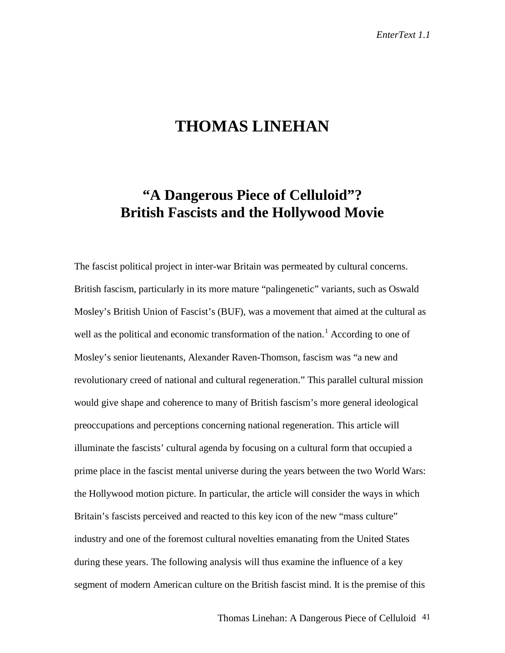## **THOMAS LINEHAN**

## **"A Dangerous Piece of Celluloid"? British Fascists and the Hollywood Movie**

The fascist political project in inter-war Britain was permeated by cultural concerns. British fascism, particularly in its more mature "palingenetic" variants, such as Oswald Mosley's British Union of Fascist's (BUF), was a movement that aimed at the cultural as well as the political and economic transformation of the nation.<sup>1</sup> According to one of Mosley's senior lieutenants, Alexander Raven-Thomson, fascism was "a new and revolutionary creed of national and cultural regeneration." This parallel cultural mission would give shape and coherence to many of British fascism's more general ideological preoccupations and perceptions concerning national regeneration. This article will illuminate the fascists' cultural agenda by focusing on a cultural form that occupied a prime place in the fascist mental universe during the years between the two World Wars: the Hollywood motion picture. In particular, the article will consider the ways in which Britain's fascists perceived and reacted to this key icon of the new "mass culture" industry and one of the foremost cultural novelties emanating from the United States during these years. The following analysis will thus examine the influence of a key segment of modern American culture on the British fascist mind. It is the premise of this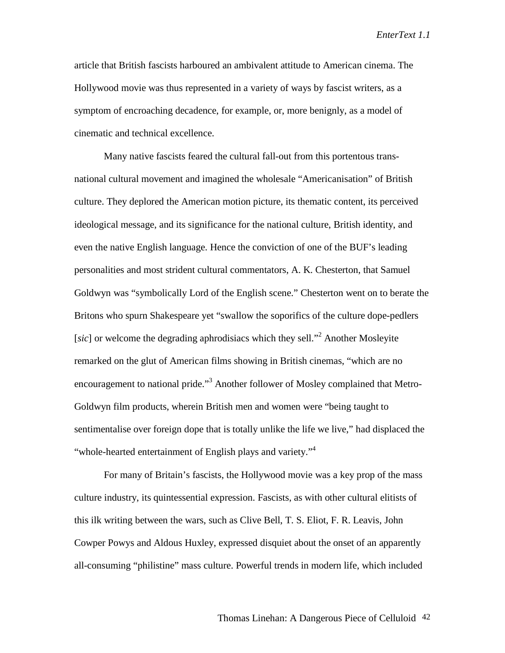article that British fascists harboured an ambivalent attitude to American cinema. The Hollywood movie was thus represented in a variety of ways by fascist writers, as a symptom of encroaching decadence, for example, or, more benignly, as a model of cinematic and technical excellence.

Many native fascists feared the cultural fall-out from this portentous transnational cultural movement and imagined the wholesale "Americanisation" of British culture. They deplored the American motion picture, its thematic content, its perceived ideological message, and its significance for the national culture, British identity, and even the native English language. Hence the conviction of one of the BUF's leading personalities and most strident cultural commentators, A. K. Chesterton, that Samuel Goldwyn was "symbolically Lord of the English scene." Chesterton went on to berate the Britons who spurn Shakespeare yet "swallow the soporifics of the culture dope-pedlers [sic] or welcome the degrading aphrodisiacs which they sell."<sup>2</sup> Another Mosleyite remarked on the glut of American films showing in British cinemas, "which are no encouragement to national pride."<sup>3</sup> Another follower of Mosley complained that Metro-Goldwyn film products, wherein British men and women were "being taught to sentimentalise over foreign dope that is totally unlike the life we live," had displaced the "whole-hearted entertainment of English plays and variety."<sup>4</sup>

For many of Britain's fascists, the Hollywood movie was a key prop of the mass culture industry, its quintessential expression. Fascists, as with other cultural elitists of this ilk writing between the wars, such as Clive Bell, T. S. Eliot, F. R. Leavis, John Cowper Powys and Aldous Huxley, expressed disquiet about the onset of an apparently all-consuming "philistine" mass culture. Powerful trends in modern life, which included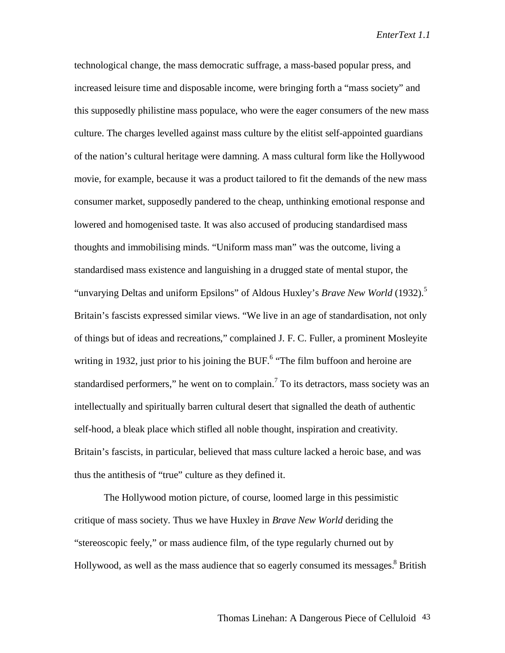technological change, the mass democratic suffrage, a mass-based popular press, and increased leisure time and disposable income, were bringing forth a "mass society" and this supposedly philistine mass populace, who were the eager consumers of the new mass culture. The charges levelled against mass culture by the elitist self-appointed guardians of the nation's cultural heritage were damning. A mass cultural form like the Hollywood movie, for example, because it was a product tailored to fit the demands of the new mass consumer market, supposedly pandered to the cheap, unthinking emotional response and lowered and homogenised taste. It was also accused of producing standardised mass thoughts and immobilising minds. "Uniform mass man" was the outcome, living a standardised mass existence and languishing in a drugged state of mental stupor, the "unvarying Deltas and uniform Epsilons" of Aldous Huxley's *Brave New World* (1932).<sup>5</sup> Britain's fascists expressed similar views. "We live in an age of standardisation, not only of things but of ideas and recreations," complained J. F. C. Fuller, a prominent Mosleyite writing in 1932, just prior to his joining the BUF.<sup>6</sup> "The film buffoon and heroine are standardised performers," he went on to complain.<sup>7</sup> To its detractors, mass society was an intellectually and spiritually barren cultural desert that signalled the death of authentic self-hood, a bleak place which stifled all noble thought, inspiration and creativity. Britain's fascists, in particular, believed that mass culture lacked a heroic base, and was thus the antithesis of "true" culture as they defined it.

The Hollywood motion picture, of course, loomed large in this pessimistic critique of mass society. Thus we have Huxley in *Brave New World* deriding the "stereoscopic feely," or mass audience film, of the type regularly churned out by Hollywood, as well as the mass audience that so eagerly consumed its messages.<sup>8</sup> British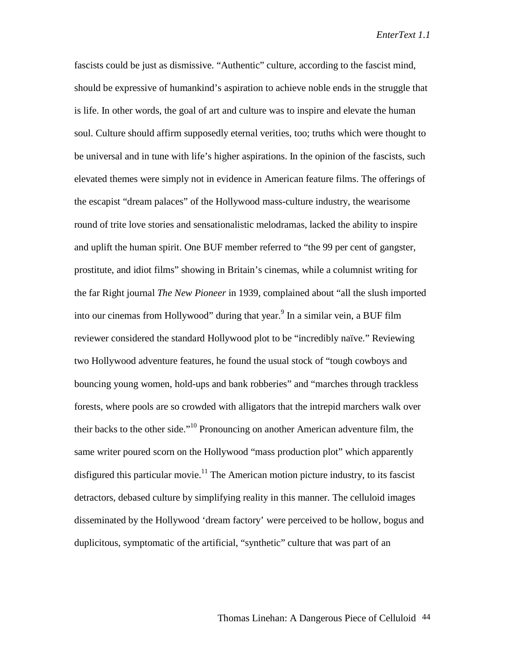fascists could be just as dismissive. "Authentic" culture, according to the fascist mind, should be expressive of humankind's aspiration to achieve noble ends in the struggle that is life. In other words, the goal of art and culture was to inspire and elevate the human soul. Culture should affirm supposedly eternal verities, too; truths which were thought to be universal and in tune with life's higher aspirations. In the opinion of the fascists, such elevated themes were simply not in evidence in American feature films. The offerings of the escapist "dream palaces" of the Hollywood mass-culture industry, the wearisome round of trite love stories and sensationalistic melodramas, lacked the ability to inspire and uplift the human spirit. One BUF member referred to "the 99 per cent of gangster, prostitute, and idiot films" showing in Britain's cinemas, while a columnist writing for the far Right journal *The New Pioneer* in 1939, complained about "all the slush imported into our cinemas from Hollywood" during that year.<sup>9</sup> In a similar vein, a BUF film reviewer considered the standard Hollywood plot to be "incredibly naïve." Reviewing two Hollywood adventure features, he found the usual stock of "tough cowboys and bouncing young women, hold-ups and bank robberies" and "marches through trackless forests, where pools are so crowded with alligators that the intrepid marchers walk over their backs to the other side."10 Pronouncing on another American adventure film, the same writer poured scorn on the Hollywood "mass production plot" which apparently disfigured this particular movie.<sup>11</sup> The American motion picture industry, to its fascist detractors, debased culture by simplifying reality in this manner. The celluloid images disseminated by the Hollywood 'dream factory' were perceived to be hollow, bogus and duplicitous, symptomatic of the artificial, "synthetic" culture that was part of an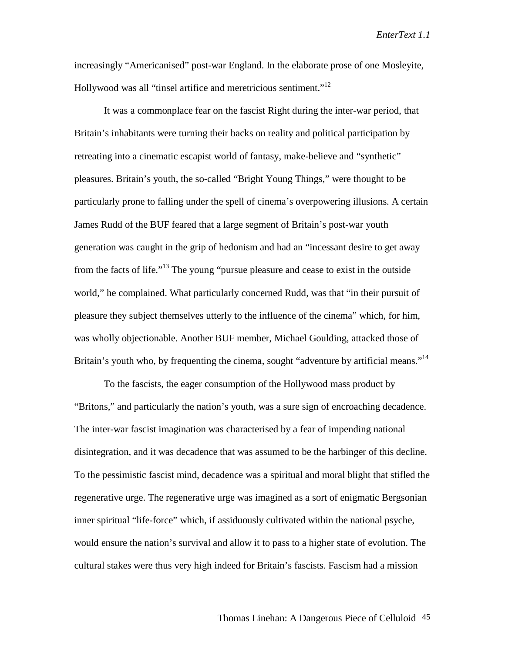increasingly "Americanised" post-war England. In the elaborate prose of one Mosleyite, Hollywood was all "tinsel artifice and meretricious sentiment."<sup>12</sup>

It was a commonplace fear on the fascist Right during the inter-war period, that Britain's inhabitants were turning their backs on reality and political participation by retreating into a cinematic escapist world of fantasy, make-believe and "synthetic" pleasures. Britain's youth, the so-called "Bright Young Things," were thought to be particularly prone to falling under the spell of cinema's overpowering illusions. A certain James Rudd of the BUF feared that a large segment of Britain's post-war youth generation was caught in the grip of hedonism and had an "incessant desire to get away from the facts of life."13 The young "pursue pleasure and cease to exist in the outside world," he complained. What particularly concerned Rudd, was that "in their pursuit of pleasure they subject themselves utterly to the influence of the cinema" which, for him, was wholly objectionable. Another BUF member, Michael Goulding, attacked those of Britain's youth who, by frequenting the cinema, sought "adventure by artificial means."<sup>14</sup>

To the fascists, the eager consumption of the Hollywood mass product by "Britons," and particularly the nation's youth, was a sure sign of encroaching decadence. The inter-war fascist imagination was characterised by a fear of impending national disintegration, and it was decadence that was assumed to be the harbinger of this decline. To the pessimistic fascist mind, decadence was a spiritual and moral blight that stifled the regenerative urge. The regenerative urge was imagined as a sort of enigmatic Bergsonian inner spiritual "life-force" which, if assiduously cultivated within the national psyche, would ensure the nation's survival and allow it to pass to a higher state of evolution. The cultural stakes were thus very high indeed for Britain's fascists. Fascism had a mission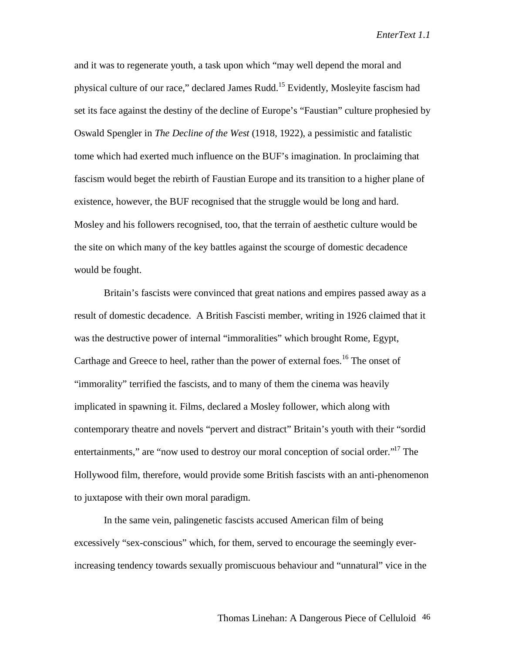and it was to regenerate youth, a task upon which "may well depend the moral and physical culture of our race," declared James Rudd.15 Evidently, Mosleyite fascism had set its face against the destiny of the decline of Europe's "Faustian" culture prophesied by Oswald Spengler in *The Decline of the West* (1918, 1922), a pessimistic and fatalistic tome which had exerted much influence on the BUF's imagination. In proclaiming that fascism would beget the rebirth of Faustian Europe and its transition to a higher plane of existence, however, the BUF recognised that the struggle would be long and hard. Mosley and his followers recognised, too, that the terrain of aesthetic culture would be the site on which many of the key battles against the scourge of domestic decadence would be fought.

Britain's fascists were convinced that great nations and empires passed away as a result of domestic decadence. A British Fascisti member, writing in 1926 claimed that it was the destructive power of internal "immoralities" which brought Rome, Egypt, Carthage and Greece to heel, rather than the power of external foes.<sup>16</sup> The onset of "immorality" terrified the fascists, and to many of them the cinema was heavily implicated in spawning it. Films, declared a Mosley follower, which along with contemporary theatre and novels "pervert and distract" Britain's youth with their "sordid entertainments," are "now used to destroy our moral conception of social order."<sup>17</sup> The Hollywood film, therefore, would provide some British fascists with an anti-phenomenon to juxtapose with their own moral paradigm.

In the same vein, palingenetic fascists accused American film of being excessively "sex-conscious" which, for them, served to encourage the seemingly everincreasing tendency towards sexually promiscuous behaviour and "unnatural" vice in the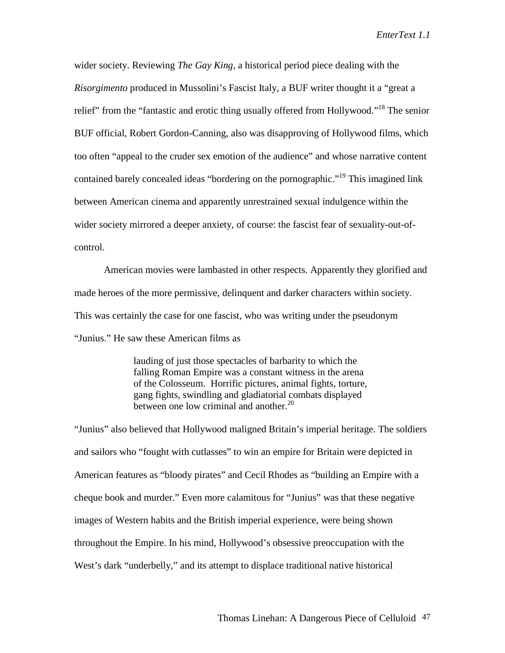wider society. Reviewing *The Gay King,* a historical period piece dealing with the *Risorgimento* produced in Mussolini's Fascist Italy, a BUF writer thought it a "great a relief" from the "fantastic and erotic thing usually offered from Hollywood."<sup>18</sup> The senior BUF official, Robert Gordon-Canning, also was disapproving of Hollywood films, which too often "appeal to the cruder sex emotion of the audience" and whose narrative content contained barely concealed ideas "bordering on the pornographic."<sup>19</sup> This imagined link between American cinema and apparently unrestrained sexual indulgence within the wider society mirrored a deeper anxiety, of course: the fascist fear of sexuality-out-ofcontrol.

American movies were lambasted in other respects. Apparently they glorified and made heroes of the more permissive, delinquent and darker characters within society. This was certainly the case for one fascist, who was writing under the pseudonym "Junius." He saw these American films as

> lauding of just those spectacles of barbarity to which the falling Roman Empire was a constant witness in the arena of the Colosseum. Horrific pictures, animal fights, torture, gang fights, swindling and gladiatorial combats displayed between one low criminal and another.<sup>20</sup>

"Junius" also believed that Hollywood maligned Britain's imperial heritage. The soldiers and sailors who "fought with cutlasses" to win an empire for Britain were depicted in American features as "bloody pirates" and Cecil Rhodes as "building an Empire with a cheque book and murder." Even more calamitous for "Junius" was that these negative images of Western habits and the British imperial experience, were being shown throughout the Empire. In his mind, Hollywood's obsessive preoccupation with the West's dark "underbelly," and its attempt to displace traditional native historical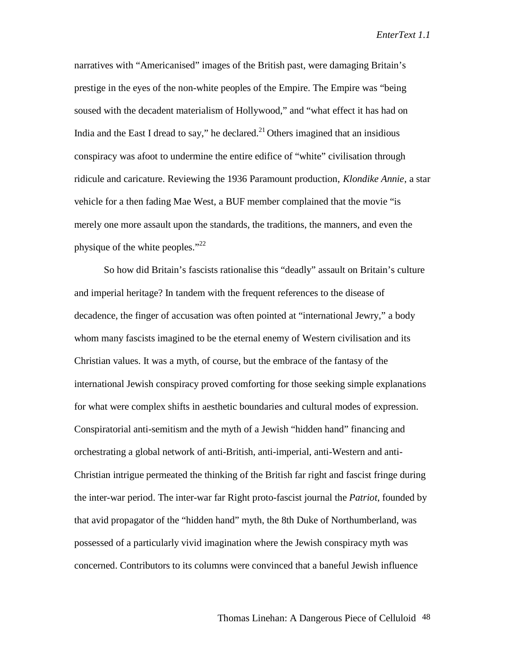narratives with "Americanised" images of the British past, were damaging Britain's prestige in the eyes of the non-white peoples of the Empire. The Empire was "being soused with the decadent materialism of Hollywood," and "what effect it has had on India and the East I dread to say," he declared.<sup>21</sup> Others imagined that an insidious conspiracy was afoot to undermine the entire edifice of "white" civilisation through ridicule and caricature. Reviewing the 1936 Paramount production, *Klondike Annie*, a star vehicle for a then fading Mae West, a BUF member complained that the movie "is merely one more assault upon the standards, the traditions, the manners, and even the physique of the white peoples." $^{22}$ 

So how did Britain's fascists rationalise this "deadly" assault on Britain's culture and imperial heritage? In tandem with the frequent references to the disease of decadence, the finger of accusation was often pointed at "international Jewry," a body whom many fascists imagined to be the eternal enemy of Western civilisation and its Christian values. It was a myth, of course, but the embrace of the fantasy of the international Jewish conspiracy proved comforting for those seeking simple explanations for what were complex shifts in aesthetic boundaries and cultural modes of expression. Conspiratorial anti-semitism and the myth of a Jewish "hidden hand" financing and orchestrating a global network of anti-British, anti-imperial, anti-Western and anti-Christian intrigue permeated the thinking of the British far right and fascist fringe during the inter-war period. The inter-war far Right proto-fascist journal the *Patriot*, founded by that avid propagator of the "hidden hand" myth, the 8th Duke of Northumberland, was possessed of a particularly vivid imagination where the Jewish conspiracy myth was concerned. Contributors to its columns were convinced that a baneful Jewish influence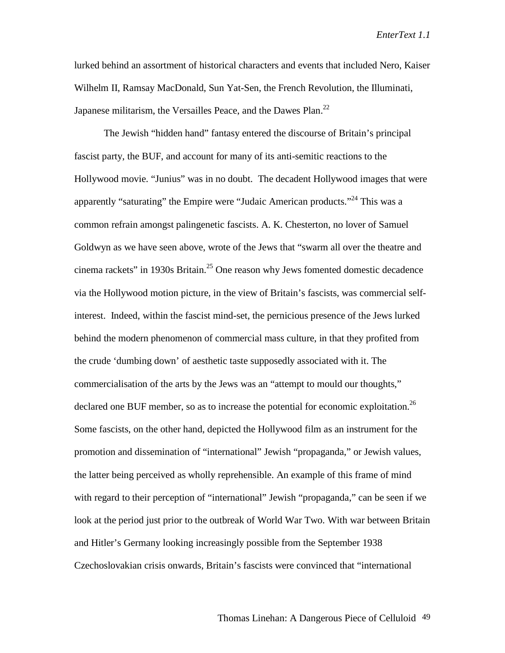lurked behind an assortment of historical characters and events that included Nero, Kaiser Wilhelm II, Ramsay MacDonald, Sun Yat-Sen, the French Revolution, the Illuminati, Japanese militarism, the Versailles Peace, and the Dawes Plan.<sup>22</sup>

The Jewish "hidden hand" fantasy entered the discourse of Britain's principal fascist party, the BUF, and account for many of its anti-semitic reactions to the Hollywood movie. "Junius" was in no doubt. The decadent Hollywood images that were apparently "saturating" the Empire were "Judaic American products."<sup>24</sup> This was a common refrain amongst palingenetic fascists. A. K. Chesterton, no lover of Samuel Goldwyn as we have seen above, wrote of the Jews that "swarm all over the theatre and cinema rackets" in 1930s Britain.<sup>25</sup> One reason why Jews fomented domestic decadence via the Hollywood motion picture, in the view of Britain's fascists, was commercial selfinterest. Indeed, within the fascist mind-set, the pernicious presence of the Jews lurked behind the modern phenomenon of commercial mass culture, in that they profited from the crude 'dumbing down' of aesthetic taste supposedly associated with it. The commercialisation of the arts by the Jews was an "attempt to mould our thoughts," declared one BUF member, so as to increase the potential for economic exploitation.<sup>26</sup> Some fascists, on the other hand, depicted the Hollywood film as an instrument for the promotion and dissemination of "international" Jewish "propaganda," or Jewish values, the latter being perceived as wholly reprehensible. An example of this frame of mind with regard to their perception of "international" Jewish "propaganda," can be seen if we look at the period just prior to the outbreak of World War Two. With war between Britain and Hitler's Germany looking increasingly possible from the September 1938 Czechoslovakian crisis onwards, Britain's fascists were convinced that "international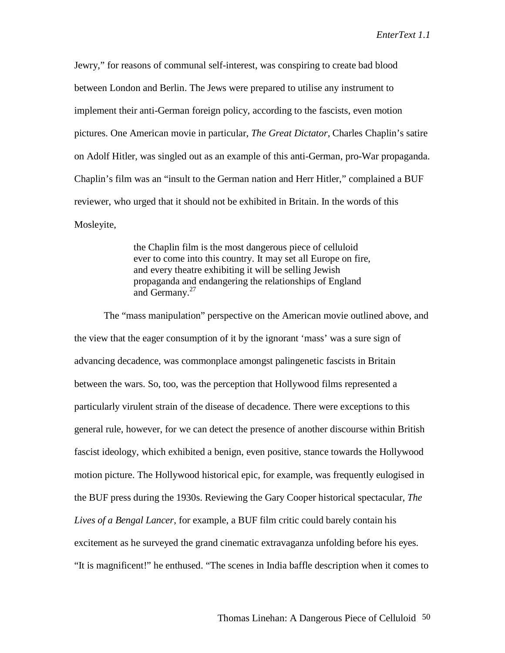Jewry," for reasons of communal self-interest, was conspiring to create bad blood between London and Berlin. The Jews were prepared to utilise any instrument to implement their anti-German foreign policy, according to the fascists, even motion pictures. One American movie in particular, *The Great Dictator*, Charles Chaplin's satire on Adolf Hitler, was singled out as an example of this anti-German, pro-War propaganda. Chaplin's film was an "insult to the German nation and Herr Hitler," complained a BUF reviewer, who urged that it should not be exhibited in Britain. In the words of this Mosleyite,

> the Chaplin film is the most dangerous piece of celluloid ever to come into this country. It may set all Europe on fire, and every theatre exhibiting it will be selling Jewish propaganda and endangering the relationships of England and Germany.<sup>27</sup>

The "mass manipulation" perspective on the American movie outlined above, and the view that the eager consumption of it by the ignorant 'mass' was a sure sign of advancing decadence, was commonplace amongst palingenetic fascists in Britain between the wars. So, too, was the perception that Hollywood films represented a particularly virulent strain of the disease of decadence. There were exceptions to this general rule, however, for we can detect the presence of another discourse within British fascist ideology, which exhibited a benign, even positive, stance towards the Hollywood motion picture. The Hollywood historical epic, for example, was frequently eulogised in the BUF press during the 1930s. Reviewing the Gary Cooper historical spectacular, *The Lives of a Bengal Lancer*, for example, a BUF film critic could barely contain his excitement as he surveyed the grand cinematic extravaganza unfolding before his eyes. "It is magnificent!" he enthused. "The scenes in India baffle description when it comes to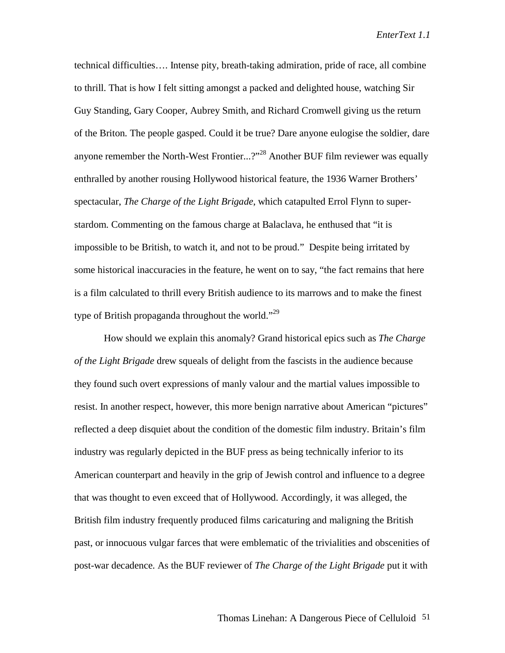technical difficulties…. Intense pity, breath-taking admiration, pride of race, all combine to thrill. That is how I felt sitting amongst a packed and delighted house, watching Sir Guy Standing, Gary Cooper, Aubrey Smith, and Richard Cromwell giving us the return of the Briton. The people gasped. Could it be true? Dare anyone eulogise the soldier, dare anyone remember the North-West Frontier...?"<sup>28</sup> Another BUF film reviewer was equally enthralled by another rousing Hollywood historical feature, the 1936 Warner Brothers' spectacular, *The Charge of the Light Brigade*, which catapulted Errol Flynn to superstardom. Commenting on the famous charge at Balaclava, he enthused that "it is impossible to be British, to watch it, and not to be proud." Despite being irritated by some historical inaccuracies in the feature, he went on to say, "the fact remains that here is a film calculated to thrill every British audience to its marrows and to make the finest type of British propaganda throughout the world."<sup>29</sup>

How should we explain this anomaly? Grand historical epics such as *The Charge of the Light Brigade* drew squeals of delight from the fascists in the audience because they found such overt expressions of manly valour and the martial values impossible to resist. In another respect, however, this more benign narrative about American "pictures" reflected a deep disquiet about the condition of the domestic film industry. Britain's film industry was regularly depicted in the BUF press as being technically inferior to its American counterpart and heavily in the grip of Jewish control and influence to a degree that was thought to even exceed that of Hollywood. Accordingly, it was alleged, the British film industry frequently produced films caricaturing and maligning the British past, or innocuous vulgar farces that were emblematic of the trivialities and obscenities of post-war decadence. As the BUF reviewer of *The Charge of the Light Brigade* put it with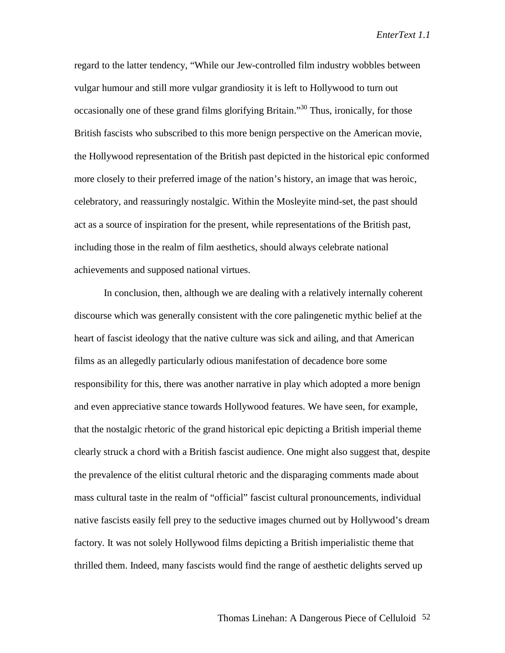regard to the latter tendency, "While our Jew-controlled film industry wobbles between vulgar humour and still more vulgar grandiosity it is left to Hollywood to turn out occasionally one of these grand films glorifying Britain."30 Thus, ironically, for those British fascists who subscribed to this more benign perspective on the American movie, the Hollywood representation of the British past depicted in the historical epic conformed more closely to their preferred image of the nation's history, an image that was heroic, celebratory, and reassuringly nostalgic. Within the Mosleyite mind-set, the past should act as a source of inspiration for the present, while representations of the British past, including those in the realm of film aesthetics, should always celebrate national achievements and supposed national virtues.

In conclusion, then, although we are dealing with a relatively internally coherent discourse which was generally consistent with the core palingenetic mythic belief at the heart of fascist ideology that the native culture was sick and ailing, and that American films as an allegedly particularly odious manifestation of decadence bore some responsibility for this, there was another narrative in play which adopted a more benign and even appreciative stance towards Hollywood features. We have seen, for example, that the nostalgic rhetoric of the grand historical epic depicting a British imperial theme clearly struck a chord with a British fascist audience. One might also suggest that, despite the prevalence of the elitist cultural rhetoric and the disparaging comments made about mass cultural taste in the realm of "official" fascist cultural pronouncements, individual native fascists easily fell prey to the seductive images churned out by Hollywood's dream factory. It was not solely Hollywood films depicting a British imperialistic theme that thrilled them. Indeed, many fascists would find the range of aesthetic delights served up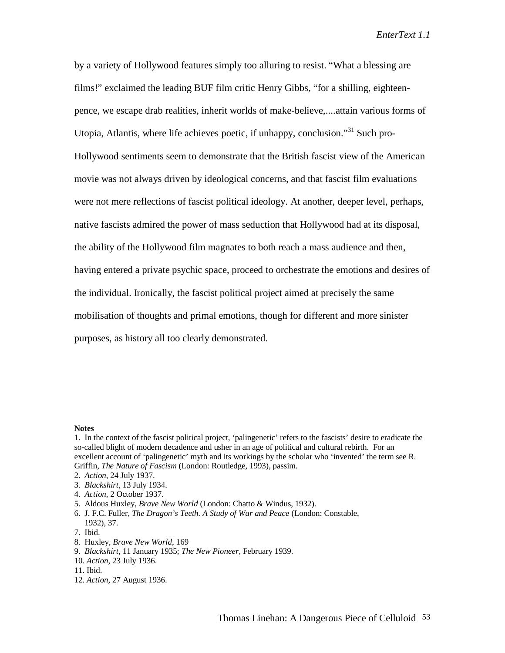by a variety of Hollywood features simply too alluring to resist. "What a blessing are films!" exclaimed the leading BUF film critic Henry Gibbs, "for a shilling, eighteenpence, we escape drab realities, inherit worlds of make-believe,....attain various forms of Utopia, Atlantis, where life achieves poetic, if unhappy, conclusion."<sup>31</sup> Such pro-Hollywood sentiments seem to demonstrate that the British fascist view of the American movie was not always driven by ideological concerns, and that fascist film evaluations were not mere reflections of fascist political ideology. At another, deeper level, perhaps, native fascists admired the power of mass seduction that Hollywood had at its disposal, the ability of the Hollywood film magnates to both reach a mass audience and then, having entered a private psychic space, proceed to orchestrate the emotions and desires of the individual. Ironically, the fascist political project aimed at precisely the same mobilisation of thoughts and primal emotions, though for different and more sinister purposes, as history all too clearly demonstrated.

## **Notes**

- 2. *Action*, 24 July 1937.
- 3. *Blackshirt*, 13 July 1934.
- 4. *Action*, 2 October 1937.
- 5. Aldous Huxley, *Brave New World* (London: Chatto & Windus, 1932).
- 6. J. F.C. Fuller, *The Dragon's Teeth. A Study of War and Peace* (London: Constable, 1932), 37.
- 7. Ibid.
- 8. Huxley, *Brave New World*, 169
- 9. *Blackshirt*, 11 January 1935; *The New Pioneer*, February 1939.
- 10. *Action*, 23 July 1936.
- 11. Ibid.
- 12. *Action*, 27 August 1936.

<sup>1.</sup> In the context of the fascist political project, 'palingenetic' refers to the fascists' desire to eradicate the so-called blight of modern decadence and usher in an age of political and cultural rebirth. For an excellent account of 'palingenetic' myth and its workings by the scholar who 'invented' the term see R. Griffin, *The Nature of Fascism* (London: Routledge, 1993), passim.